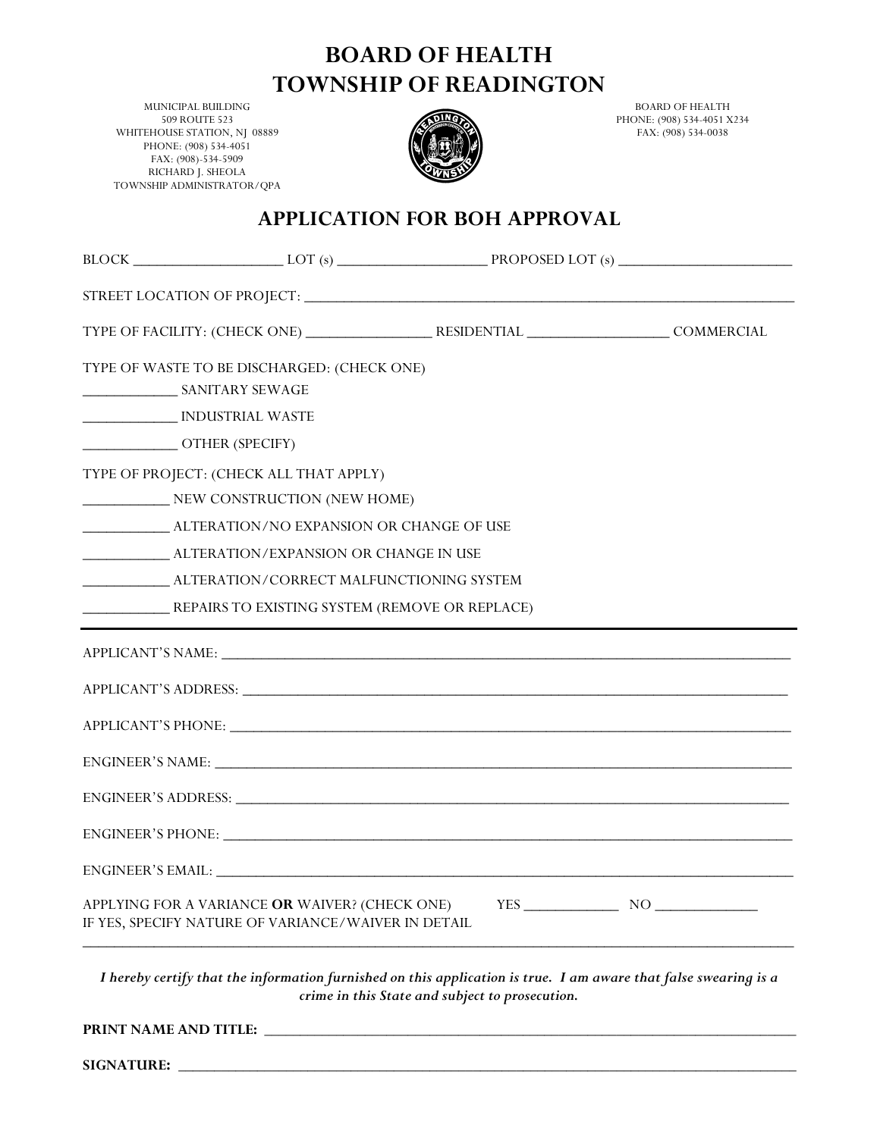## **BOARD OF HEALTH TOWNSHIP OF READINGTON**

MUNICIPAL BUILDING 509 ROUTE 523 WHITEHOUSE STATION, NJ 08889 PHONE: (908) 534-4051 FAX: (908)-534-5909 RICHARD J. SHEOLA TOWNSHIP ADMINISTRATOR/QPA



BOARD OF HEALTH PHONE: (908) 534-4051 X234 FAX: (908) 534-0038

## **APPLICATION FOR BOH APPROVAL**

| TYPE OF WASTE TO BE DISCHARGED: (CHECK ONE)                                                           |  |  |  |             |
|-------------------------------------------------------------------------------------------------------|--|--|--|-------------|
| INDUSTRIAL WASTE                                                                                      |  |  |  |             |
| OTHER (SPECIFY)                                                                                       |  |  |  |             |
| TYPE OF PROJECT: (CHECK ALL THAT APPLY)                                                               |  |  |  |             |
| NEW CONSTRUCTION (NEW HOME)                                                                           |  |  |  |             |
|                                                                                                       |  |  |  |             |
| ________________ ALTERATION/EXPANSION OR CHANGE IN USE                                                |  |  |  |             |
| ______________________ ALTERATION/CORRECT MALFUNCTIONING SYSTEM                                       |  |  |  |             |
| REPAIRS TO EXISTING SYSTEM (REMOVE OR REPLACE)                                                        |  |  |  |             |
|                                                                                                       |  |  |  |             |
|                                                                                                       |  |  |  |             |
|                                                                                                       |  |  |  |             |
| ENGINEER'S NAME:                                                                                      |  |  |  |             |
|                                                                                                       |  |  |  |             |
|                                                                                                       |  |  |  |             |
|                                                                                                       |  |  |  |             |
| APPLYING FOR A VARIANCE OR WAIVER? (CHECK ONE)<br>IF YES, SPECIFY NATURE OF VARIANCE/WAIVER IN DETAIL |  |  |  | $YES$ NO NO |

*I hereby certify that the information furnished on this application is true. I am aware that false swearing is a crime in this State and subject to prosecution.*

**PRINT NAME AND TITLE: \_\_\_\_\_\_\_\_\_\_\_\_\_\_\_\_\_\_\_\_\_\_\_\_\_\_\_\_\_\_\_\_\_\_\_\_\_\_\_\_\_\_\_\_\_\_\_\_\_\_\_\_\_\_\_\_\_\_\_\_\_\_\_\_\_\_\_\_\_\_\_\_\_\_**

**SIGNATURE:** \_\_\_\_\_\_\_\_\_\_\_\_\_\_\_\_\_\_\_\_\_\_\_\_\_\_\_\_\_\_\_\_\_\_\_\_\_\_\_\_\_\_\_\_\_\_\_\_\_\_\_\_\_\_\_\_\_\_\_\_\_\_\_\_\_\_\_\_\_\_\_\_\_\_\_\_\_\_\_\_\_\_\_\_\_\_